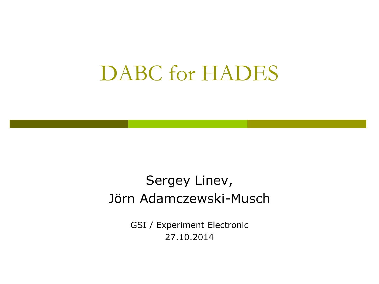### DABC for HADES

#### Sergey Linev, Jörn Adamczewski-Musch

GSI / Experiment Electronic 27.10.2014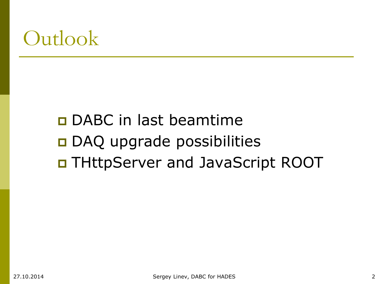### **Outlook**

### DABC in last beamtime DAQ upgrade possibilities THttpServer and JavaScript ROOT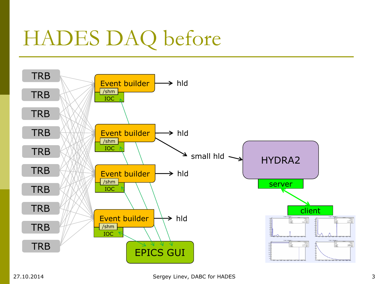# HADES DAQ before

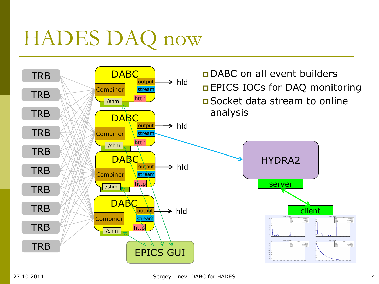# HADES DAQ now

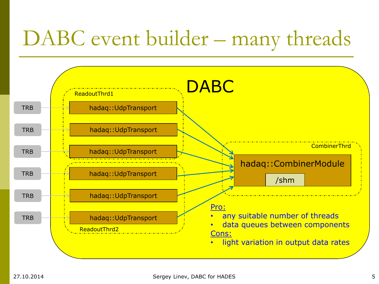## DABC event builder – many threads

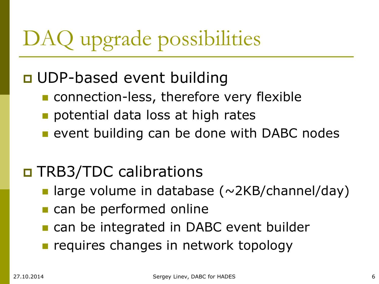# DAQ upgrade possibilities

### **D** UDP-based event building

- **n** connection-less, therefore very flexible
- potential data loss at high rates
- **Exding 1** event building can be done with DABC nodes

### □ TRB3/TDC calibrations

- large volume in database ( $\sim$ 2KB/channel/day)
- can be performed online
- **n** can be integrated in DABC event builder
- requires changes in network topology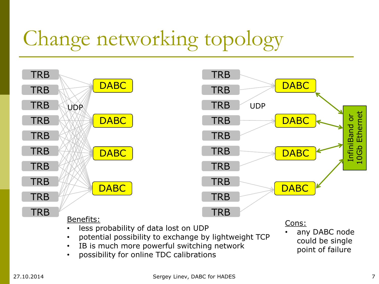# Change networking topology

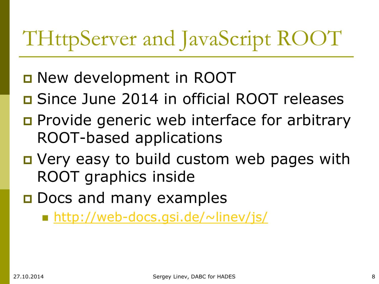# THttpServer and JavaScript ROOT

- **D** New development in ROOT
- **D** Since June 2014 in official ROOT releases
- **Provide generic web interface for arbitrary** ROOT-based applications
- **D** Very easy to build custom web pages with ROOT graphics inside
- **D** Docs and many examples

■ <http://web-docs.gsi.de/~linev/js/>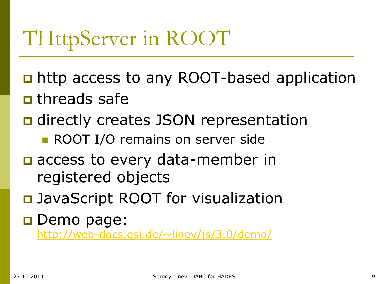# THttpServer in ROOT

- n http access to any ROOT-based application
- **n** threads safe
- **□** directly creates JSON representation
	- **ROOT I/O remains on server side**
- $\Box$  access to every data-member in registered objects
- □ JavaScript ROOT for visualization
- **Demo page:** <http://web-docs.gsi.de/~linev/js/3.0/demo/>